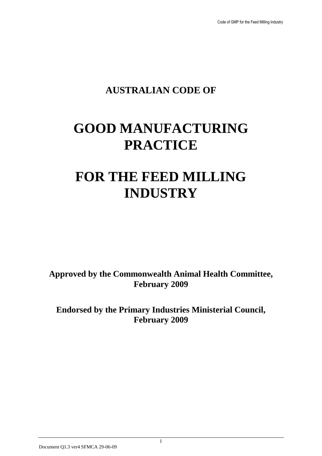# **AUSTRALIAN CODE OF**

# **GOOD MANUFACTURING PRACTICE**

# **FOR THE FEED MILLING INDUSTRY**

**Approved by the Commonwealth Animal Health Committee, February 2009**

**Endorsed by the Primary Industries Ministerial Council, February 2009**

1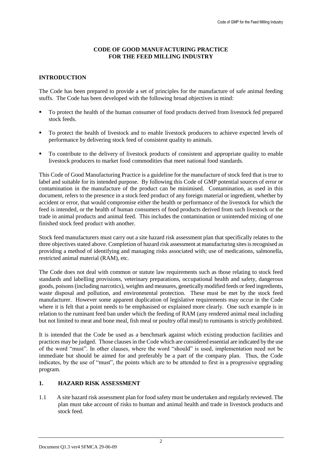# **CODE OF GOOD MANUFACTURING PRACTICE FOR THE FEED MILLING INDUSTRY**

# **INTRODUCTION**

The Code has been prepared to provide a set of principles for the manufacture of safe animal feeding stuffs. The Code has been developed with the following broad objectives in mind:

- To protect the health of the human consumer of food products derived from livestock fed prepared stock feeds.
- To protect the health of livestock and to enable livestock producers to achieve expected levels of performance by delivering stock feed of consistent quality to animals.
- To contribute to the delivery of livestock products of consistent and appropriate quality to enable livestock producers to market food commodities that meet national food standards.

This Code of Good Manufacturing Practice is a guideline for the manufacture of stock feed that is true to label and suitable for its intended purpose. By following this Code of GMP potential sources of error or contamination in the manufacture of the product can be minimised. Contamination, as used in this document, refers to the presence in a stock feed product of any foreign material or ingredient, whether by accident or error, that would compromise either the health or performance of the livestock for which the feed is intended, or the health of human consumers of food products derived from such livestock or the trade in animal products and animal feed. This includes the contamination or unintended mixing of one finished stock feed product with another.

Stock feed manufacturers must carry out a site hazard risk assessment plan that specifically relates to the three objectives stated above. Completion of hazard risk assessment at manufacturing sites is recognised as providing a method of identifying and managing risks associated with; use of medications, salmonella, restricted animal material (RAM), etc.

The Code does not deal with common or statute law requirements such as those relating to stock feed standards and labelling provisions, veterinary preparations, occupational health and safety, dangerous goods, poisons (including narcotics), weights and measures, genetically modified feeds or feed ingredients, waste disposal and pollution, and environmental protection. These must be met by the stock feed manufacturer. However some apparent duplication of legislative requirements may occur in the Code where it is felt that a point needs to be emphasised or explained more clearly. One such example is in relation to the ruminant feed ban under which the feeding of RAM (any rendered animal meal including but not limited to meat and bone meal, fish meal or poultry offal meal) to ruminants is strictly prohibited.

It is intended that the Code be used as a benchmark against which existing production facilities and practices may be judged. Those clauses in the Code which are considered essential are indicated by the use of the word "must". In other clauses, where the word "should" is used, implementation need not be immediate but should be aimed for and preferably be a part of the company plan. Thus, the Code indicates, by the use of "must", the points which are to be attended to first in a progressive upgrading program.

#### **1. HAZARD RISK ASSESSMENT**

1.1 A site hazard risk assessment plan for food safety must be undertaken and regularly reviewed. The plan must take account of risks to human and animal health and trade in livestock products and stock feed.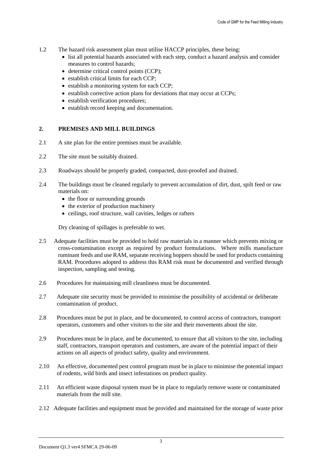- 1.2 The hazard risk assessment plan must utilise HACCP principles, these being:
	- list all potential hazards associated with each step, conduct a hazard analysis and consider measures to control hazards;
	- determine critical control points (CCP);
	- establish critical limits for each CCP;
	- establish a monitoring system for each CCP;
	- establish corrective action plans for deviations that may occur at CCPs;
	- establish verification procedures:
	- establish record keeping and documentation.

#### **2. PREMISES AND MILL BUILDINGS**

- 2.1 A site plan for the entire premises must be available.
- 2.2 The site must be suitably drained.
- 2.3 Roadways should be properly graded, compacted, dust-proofed and drained.
- 2.4 The buildings must be cleaned regularly to prevent accumulation of dirt, dust, spilt feed or raw materials on:
	- the floor or surrounding grounds
	- the exterior of production machinery
	- ceilings, roof structure, wall cavities, ledges or rafters

Dry cleaning of spillages is preferable to wet.

- 2.5 Adequate facilities must be provided to hold raw materials in a manner which prevents mixing or cross-contamination except as required by product formulations. Where mills manufacture ruminant feeds and use RAM, separate receiving hoppers should be used for products containing RAM. Procedures adopted to address this RAM risk must be documented and verified through inspection, sampling and testing.
- 2.6 Procedures for maintaining mill cleanliness must be documented.
- 2.7 Adequate site security must be provided to minimise the possibility of accidental or deliberate contamination of product.
- 2.8 Procedures must be put in place, and be documented, to control access of contractors, transport operators, customers and other visitors to the site and their movements about the site.
- 2.9 Procedures must be in place, and be documented, to ensure that all visitors to the site, including staff, contractors, transport operators and customers, are aware of the potential impact of their actions on all aspects of product safety, quality and environment.
- 2.10 An effective, documented pest control program must be in place to minimise the potential impact of rodents, wild birds and insect infestations on product quality.
- 2.11 An efficient waste disposal system must be in place to regularly remove waste or contaminated materials from the mill site.
- 2.12 Adequate facilities and equipment must be provided and maintained for the storage of waste prior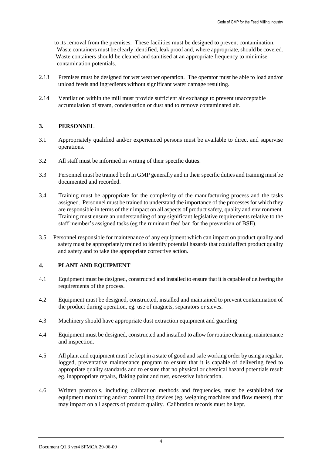to its removal from the premises. These facilities must be designed to prevent contamination. Waste containers must be clearly identified, leak proof and, where appropriate, should be covered. Waste containers should be cleaned and sanitised at an appropriate frequency to minimise contamination potentials.

- 2.13 Premises must be designed for wet weather operation. The operator must be able to load and/or unload feeds and ingredients without significant water damage resulting.
- 2.14 Ventilation within the mill must provide sufficient air exchange to prevent unacceptable accumulation of steam, condensation or dust and to remove contaminated air.

# **3. PERSONNEL**

- 3.1 Appropriately qualified and/or experienced persons must be available to direct and supervise operations.
- 3.2 All staff must be informed in writing of their specific duties.
- 3.3 Personnel must be trained both in GMP generally and in their specific duties and training must be documented and recorded.
- 3.4 Training must be appropriate for the complexity of the manufacturing process and the tasks assigned. Personnel must be trained to understand the importance of the processes for which they are responsible in terms of their impact on all aspects of product safety, quality and environment. Training must ensure an understanding of any significant legislative requirements relative to the staff member's assigned tasks (eg the ruminant feed ban for the prevention of BSE).
- 3.5 Personnel responsible for maintenance of any equipment which can impact on product quality and safety must be appropriately trained to identify potential hazards that could affect product quality and safety and to take the appropriate corrective action.

# **4. PLANT AND EQUIPMENT**

- 4.1 Equipment must be designed, constructed and installed to ensure that it is capable of delivering the requirements of the process.
- 4.2 Equipment must be designed, constructed, installed and maintained to prevent contamination of the product during operation, eg. use of magnets, separators or sieves.
- 4.3 Machinery should have appropriate dust extraction equipment and guarding
- 4.4 Equipment must be designed, constructed and installed to allow for routine cleaning, maintenance and inspection.
- 4.5 All plant and equipment must be kept in a state of good and safe working order by using a regular, logged, preventative maintenance program to ensure that it is capable of delivering feed to appropriate quality standards and to ensure that no physical or chemical hazard potentials result eg. inappropriate repairs, flaking paint and rust, excessive lubrication.
- 4.6 Written protocols, including calibration methods and frequencies, must be established for equipment monitoring and/or controlling devices (eg. weighing machines and flow meters), that may impact on all aspects of product quality. Calibration records must be kept.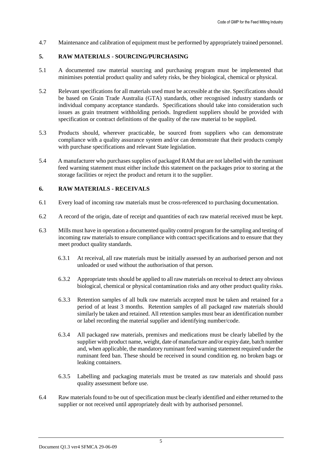4.7 Maintenance and calibration of equipment must be performed by appropriately trained personnel.

# **5. RAW MATERIALS - SOURCING/PURCHASING**

- 5.1 A documented raw material sourcing and purchasing program must be implemented that minimises potential product quality and safety risks, be they biological, chemical or physical.
- 5.2 Relevant specifications for all materials used must be accessible at the site. Specifications should be based on Grain Trade Australia (GTA) standards, other recognised industry standards or individual company acceptance standards. Specifications should take into consideration such issues as grain treatment withholding periods. Ingredient suppliers should be provided with specification or contract definitions of the quality of the raw material to be supplied.
- 5.3 Products should, wherever practicable, be sourced from suppliers who can demonstrate compliance with a quality assurance system and/or can demonstrate that their products comply with purchase specifications and relevant State legislation.
- 5.4 A manufacturer who purchases supplies of packaged RAM that are not labelled with the ruminant feed warning statement must either include this statement on the packages prior to storing at the storage facilities or reject the product and return it to the supplier.

# **6. RAW MATERIALS - RECEIVALS**

- 6.1 Every load of incoming raw materials must be cross-referenced to purchasing documentation.
- 6.2 A record of the origin, date of receipt and quantities of each raw material received must be kept.
- 6.3 Mills must have in operation a documented quality control program for the sampling and testing of incoming raw materials to ensure compliance with contract specifications and to ensure that they meet product quality standards.
	- 6.3.1 At receival, all raw materials must be initially assessed by an authorised person and not unloaded or used without the authorisation of that person.
	- 6.3.2 Appropriate tests should be applied to all raw materials on receival to detect any obvious biological, chemical or physical contamination risks and any other product quality risks.
	- 6.3.3 Retention samples of all bulk raw materials accepted must be taken and retained for a period of at least 3 months. Retention samples of all packaged raw materials should similarly be taken and retained. All retention samples must bear an identification number or label recording the material supplier and identifying number/code.
	- 6.3.4 All packaged raw materials, premixes and medications must be clearly labelled by the supplier with product name, weight, date of manufacture and/or expiry date, batch number and, when applicable, the mandatory ruminant feed warning statement required under the ruminant feed ban. These should be received in sound condition eg. no broken bags or leaking containers.
	- 6.3.5 Labelling and packaging materials must be treated as raw materials and should pass quality assessment before use.
- 6.4 Raw materials found to be out of specification must be clearly identified and either returned to the supplier or not received until appropriately dealt with by authorised personnel.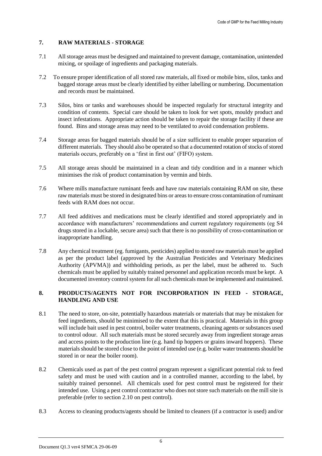# **7. RAW MATERIALS - STORAGE**

- 7.1 All storage areas must be designed and maintained to prevent damage, contamination, unintended mixing, or spoilage of ingredients and packaging materials.
- 7.2 To ensure proper identification of all stored raw materials, all fixed or mobile bins, silos, tanks and bagged storage areas must be clearly identified by either labelling or numbering. Documentation and records must be maintained.
- 7.3 Silos, bins or tanks and warehouses should be inspected regularly for structural integrity and condition of contents. Special care should be taken to look for wet spots, mouldy product and insect infestations. Appropriate action should be taken to repair the storage facility if these are found. Bins and storage areas may need to be ventilated to avoid condensation problems.
- 7.4 Storage areas for bagged materials should be of a size sufficient to enable proper separation of different materials. They should also be operated so that a documented rotation of stocks of stored materials occurs, preferably on a 'first in first out' (FIFO) system.
- 7.5 All storage areas should be maintained in a clean and tidy condition and in a manner which minimises the risk of product contamination by vermin and birds.
- 7.6 Where mills manufacture ruminant feeds and have raw materials containing RAM on site, these raw materials must be stored in designated bins or areas to ensure cross contamination of ruminant feeds with RAM does not occur.
- 7.7 All feed additives and medications must be clearly identified and stored appropriately and in accordance with manufacturers' recommendations and current regulatory requirements (eg S4 drugs stored in a lockable, secure area) such that there is no possibility of cross-contamination or inappropriate handling.
- 7.8 Any chemical treatment (eg. fumigants, pesticides) applied to stored raw materials must be applied as per the product label (approved by the Australian Pesticides and Veterinary Medicines Authority (APVMA)) and withholding periods, as per the label, must be adhered to. Such chemicals must be applied by suitably trained personnel and application records must be kept. A documented inventory control system for all such chemicals must be implemented and maintained.

#### **8. PRODUCTS/AGENTS NOT FOR INCORPORATION IN FEED - STORAGE, HANDLING AND USE**

- 8.1 The need to store, on-site, potentially hazardous materials or materials that may be mistaken for feed ingredients, should be minimised to the extent that this is practical. Materials in this group will include bait used in pest control, boiler water treatments, cleaning agents or substances used to control odour. All such materials must be stored securely away from ingredient storage areas and access points to the production line (e.g. hand tip hoppers or grains inward hoppers). These materials should be stored close to the point of intended use (e.g. boiler water treatments should be stored in or near the boiler room).
- 8.2 Chemicals used as part of the pest control program represent a significant potential risk to feed safety and must be used with caution and in a controlled manner, according to the label, by suitably trained personnel. All chemicals used for pest control must be registered for their intended use. Using a pest control contractor who does not store such materials on the mill site is preferable (refer to section 2.10 on pest control).
- 8.3 Access to cleaning products/agents should be limited to cleaners (if a contractor is used) and/or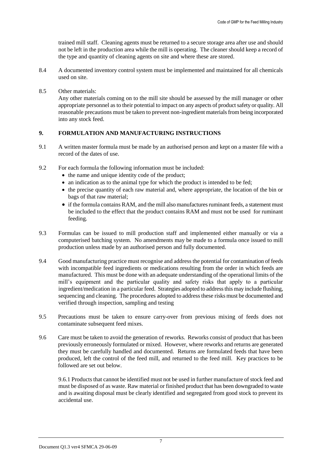trained mill staff. Cleaning agents must be returned to a secure storage area after use and should not be left in the production area while the mill is operating. The cleaner should keep a record of the type and quantity of cleaning agents on site and where these are stored.

- 8.4 A documented inventory control system must be implemented and maintained for all chemicals used on site.
- 8.5 Other materials:

Any other materials coming on to the mill site should be assessed by the mill manager or other appropriate personnel as to their potential to impact on any aspects of product safety or quality. All reasonable precautions must be taken to prevent non-ingredient materials from being incorporated into any stock feed.

# **9. FORMULATION AND MANUFACTURING INSTRUCTIONS**

- 9.1 A written master formula must be made by an authorised person and kept on a master file with a record of the dates of use.
- 9.2 For each formula the following information must be included:
	- $\bullet$  the name and unique identity code of the product;
	- an indication as to the animal type for which the product is intended to be fed;
	- $\bullet$  the precise quantity of each raw material and, where appropriate, the location of the bin or bags of that raw material;
	- if the formula contains RAM, and the mill also manufactures ruminant feeds, a statement must be included to the effect that the product contains RAM and must not be used for ruminant feeding.
- 9.3 Formulas can be issued to mill production staff and implemented either manually or via a computerised batching system. No amendments may be made to a formula once issued to mill production unless made by an authorised person and fully documented.
- 9.4 Good manufacturing practice must recognise and address the potential for contamination of feeds with incompatible feed ingredients or medications resulting from the order in which feeds are manufactured. This must be done with an adequate understanding of the operational limits of the mill's equipment and the particular quality and safety risks that apply to a particular ingredient/medication in a particular feed. Strategies adopted to address this may include flushing, sequencing and cleaning. The procedures adopted to address these risks must be documented and verified through inspection, sampling and testing
- 9.5 Precautions must be taken to ensure carry-over from previous mixing of feeds does not contaminate subsequent feed mixes.
- 9.6 Care must be taken to avoid the generation of reworks. Reworks consist of product that has been previously erroneously formulated or mixed. However, where reworks and returns are generated they must be carefully handled and documented. Returns are formulated feeds that have been produced, left the control of the feed mill, and returned to the feed mill. Key practices to be followed are set out below.

9.6.1 Products that cannot be identified must not be used in further manufacture of stock feed and must be disposed of as waste. Raw material or finished product that has been downgraded to waste and is awaiting disposal must be clearly identified and segregated from good stock to prevent its accidental use.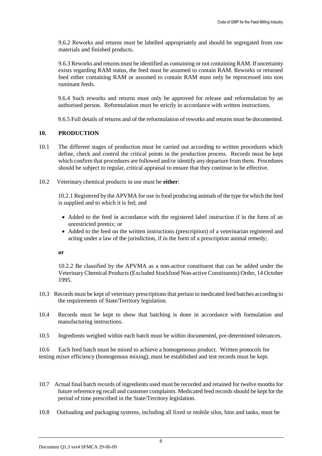9.6.2 Reworks and returns must be labelled appropriately and should be segregated from raw materials and finished products.

9.6.3 Reworks and returns must be identified as containing or not containing RAM. If uncertainty exists regarding RAM status, the feed must be assumed to contain RAM. Reworks or returned feed either containing RAM or assumed to contain RAM must only be reprocessed into non ruminant feeds.

9.6.4 Such reworks and returns must only be approved for release and reformulation by an authorised person. Reformulation must be strictly in accordance with written instructions.

9.6.5 Full details of returns and of the reformulation of reworks and returns must be documented.

#### **10. PRODUCTION**

- 10.1 The different stages of production must be carried out according to written procedures which define, check and control the critical points in the production process. Records must be kept which confirm that procedures are followed and/or identify any departure from them. Procedures should be subject to regular, critical appraisal to ensure that they continue to be effective.
- 10.2 Veterinary chemical products in use must be **either**:

10.2.1 Registered by the APVMA for use in food producing animals of the type for which the feed is supplied and to which it is fed; and

- Added to the feed in accordance with the registered label instruction if in the form of an unrestricted premix; or
- Added to the feed on the written instructions (prescription) of a veterinarian registered and acting under a law of the jurisdiction, if in the form of a prescription animal remedy;

#### **or**

10.2.2 Be classified by the APVMA as a non-active constituent that can be added under the Veterinary Chemical Products (Excluded Stockfood Non-active Constituents) Order, 14 October 1995.

- 10.3 Records must be kept of veterinary prescriptions that pertain to medicated feed batches according to the requirements of State/Territory legislation.
- 10.4 Records must be kept to show that batching is done in accordance with formulation and manufacturing instructions.
- 10.5 Ingredients weighed within each batch must be within documented, pre-determined tolerances.

10.6 Each feed batch must be mixed to achieve a homogeneous product. Written protocols for testing mixer efficiency (homogenous mixing), must be established and test records must be kept.

- 10.7 Actual final batch records of ingredients used must be recorded and retained for twelve months for future reference eg recall and customer complaints. Medicated feed records should be kept for the period of time prescribed in the State/Territory legislation.
- 10.8 Outloading and packaging systems, including all fixed or mobile silos, bins and tanks, must be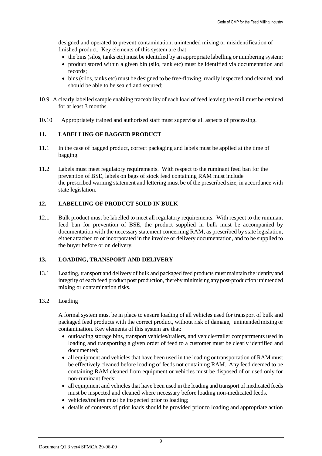designed and operated to prevent contamination, unintended mixing or misidentification of finished product. Key elements of this system are that:

- the bins (silos, tanks etc) must be identified by an appropriate labelling or numbering system;
- product stored within a given bin (silo, tank etc) must be identified via documentation and records;
- bins (silos, tanks etc) must be designed to be free-flowing, readily inspected and cleaned, and should be able to be sealed and secured;
- 10.9 A clearly labelled sample enabling traceability of each load of feed leaving the mill must be retained for at least 3 months.
- 10.10 Appropriately trained and authorised staff must supervise all aspects of processing.

#### **11. LABELLING OF BAGGED PRODUCT**

- 11.1 In the case of bagged product, correct packaging and labels must be applied at the time of bagging.
- 11.2 Labels must meet regulatory requirements. With respect to the ruminant feed ban for the prevention of BSE, labels on bags of stock feed containing RAM must include the prescribed warning statement and lettering must be of the prescribed size, in accordance with state legislation.

# **12. LABELLING OF PRODUCT SOLD IN BULK**

12.1 Bulk product must be labelled to meet all regulatory requirements. With respect to the ruminant feed ban for prevention of BSE, the product supplied in bulk must be accompanied by documentation with the necessary statement concerning RAM, as prescribed by state legislation, either attached to or incorporated in the invoice or delivery documentation, and to be supplied to the buyer before or on delivery.

#### **13. LOADING, TRANSPORT AND DELIVERY**

13.1 Loading, transport and delivery of bulk and packaged feed products must maintain the identity and integrity of each feed product post production, thereby minimising any post-production unintended mixing or contamination risks.

#### 13.2 Loading

A formal system must be in place to ensure loading of all vehicles used for transport of bulk and packaged feed products with the correct product, without risk of damage, unintended mixing or contamination. Key elements of this system are that:

- outloading storage bins, transport vehicles/trailers, and vehicle/trailer compartments used in loading and transporting a given order of feed to a customer must be clearly identified and documented;
- all equipment and vehicles that have been used in the loading or transportation of RAM must be effectively cleaned before loading of feeds not containing RAM. Any feed deemed to be containing RAM cleaned from equipment or vehicles must be disposed of or used only for non-ruminant feeds;
- all equipment and vehicles that have been used in the loading and transport of medicated feeds must be inspected and cleaned where necessary before loading non-medicated feeds.
- vehicles/trailers must be inspected prior to loading;
- details of contents of prior loads should be provided prior to loading and appropriate action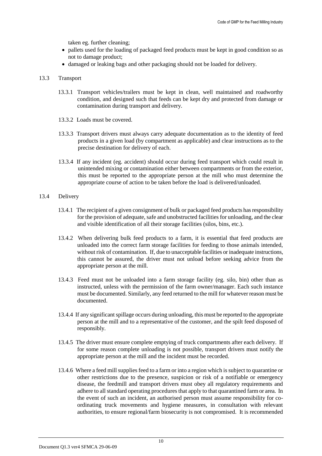taken eg. further cleaning;

- pallets used for the loading of packaged feed products must be kept in good condition so as not to damage product;
- damaged or leaking bags and other packaging should not be loaded for delivery.

#### 13.3 Transport

- 13.3.1 Transport vehicles/trailers must be kept in clean, well maintained and roadworthy condition, and designed such that feeds can be kept dry and protected from damage or contamination during transport and delivery.
- 13.3.2 Loads must be covered.
- 13.3.3 Transport drivers must always carry adequate documentation as to the identity of feed products in a given load (by compartment as applicable) and clear instructions as to the precise destination for delivery of each.
- 13.3.4 If any incident (eg. accident) should occur during feed transport which could result in unintended mixing or contamination either between compartments or from the exterior, this must be reported to the appropriate person at the mill who must determine the appropriate course of action to be taken before the load is delivered/unloaded.
- 13.4 Delivery
	- 13.4.1 The recipient of a given consignment of bulk or packaged feed products has responsibility for the provision of adequate, safe and unobstructed facilities for unloading, and the clear and visible identification of all their storage facilities (silos, bins, etc.).
	- 13.4.2 When delivering bulk feed products to a farm, it is essential that feed products are unloaded into the correct farm storage facilities for feeding to those animals intended, without risk of contamination. If, due to unacceptable facilities or inadequate instructions, this cannot be assured, the driver must not unload before seeking advice from the appropriate person at the mill.
	- 13.4.3 Feed must not be unloaded into a farm storage facility (eg. silo, bin) other than as instructed, unless with the permission of the farm owner/manager. Each such instance must be documented. Similarly, any feed returned to the mill for whatever reason must be documented.
	- 13.4.4 If any significant spillage occurs during unloading, this must be reported to the appropriate person at the mill and to a representative of the customer, and the spilt feed disposed of responsibly.
	- 13.4.5 The driver must ensure complete emptying of truck compartments after each delivery. If for some reason complete unloading is not possible, transport drivers must notify the appropriate person at the mill and the incident must be recorded.
	- 13.4.6 Where a feed mill supplies feed to a farm or into a region which is subject to quarantine or other restrictions due to the presence, suspicion or risk of a notifiable or emergency disease, the feedmill and transport drivers must obey all regulatory requirements and adhere to all standard operating procedures that apply to that quarantined farm or area. In the event of such an incident, an authorised person must assume responsibility for coordinating truck movements and hygiene measures, in consultation with relevant authorities, to ensure regional/farm biosecurity is not compromised. It is recommended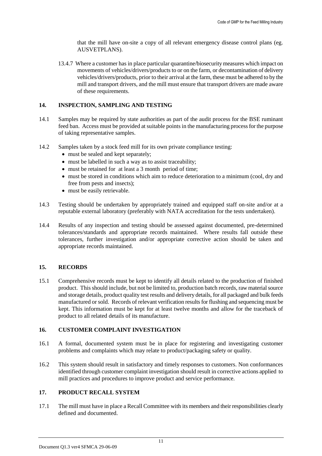that the mill have on-site a copy of all relevant emergency disease control plans (eg. AUSVETPLANS).

13.4.7 Where a customer has in place particular quarantine/biosecurity measures which impact on movements of vehicles/drivers/products to or on the farm, or decontamination of delivery vehicles/drivers/products, prior to their arrival at the farm, these must be adhered to by the mill and transport drivers, and the mill must ensure that transport drivers are made aware of these requirements.

# **14. INSPECTION, SAMPLING AND TESTING**

- 14.1 Samples may be required by state authorities as part of the audit process for the BSE ruminant feed ban. Access must be provided at suitable points in the manufacturing process for the purpose of taking representative samples.
- 14.2 Samples taken by a stock feed mill for its own private compliance testing:
	- must be sealed and kept separately;
	- must be labelled in such a way as to assist traceability;
	- must be retained for at least a 3 month period of time;
	- must be stored in conditions which aim to reduce deterioration to a minimum (cool, dry and free from pests and insects);
	- must be easily retrievable.
- 14.3 Testing should be undertaken by appropriately trained and equipped staff on-site and/or at a reputable external laboratory (preferably with NATA accreditation for the tests undertaken).
- 14.4 Results of any inspection and testing should be assessed against documented, pre-determined tolerances/standards and appropriate records maintained. Where results fall outside these tolerances, further investigation and/or appropriate corrective action should be taken and appropriate records maintained.

#### **15. RECORDS**

15.1 Comprehensive records must be kept to identify all details related to the production of finished product. This should include, but not be limited to, production batch records, raw material source and storage details, product quality test results and delivery details, for all packaged and bulk feeds manufactured or sold. Records of relevant verification results for flushing and sequencing must be kept. This information must be kept for at least twelve months and allow for the traceback of product to all related details of its manufacture.

#### **16. CUSTOMER COMPLAINT INVESTIGATION**

- 16.1 A formal, documented system must be in place for registering and investigating customer problems and complaints which may relate to product/packaging safety or quality.
- 16.2 This system should result in satisfactory and timely responses to customers. Non conformances identified through customer complaint investigation should result in corrective actions applied to mill practices and procedures to improve product and service performance.

# **17. PRODUCT RECALL SYSTEM**

17.1 The mill must have in place a Recall Committee with its members and their responsibilities clearly defined and documented.